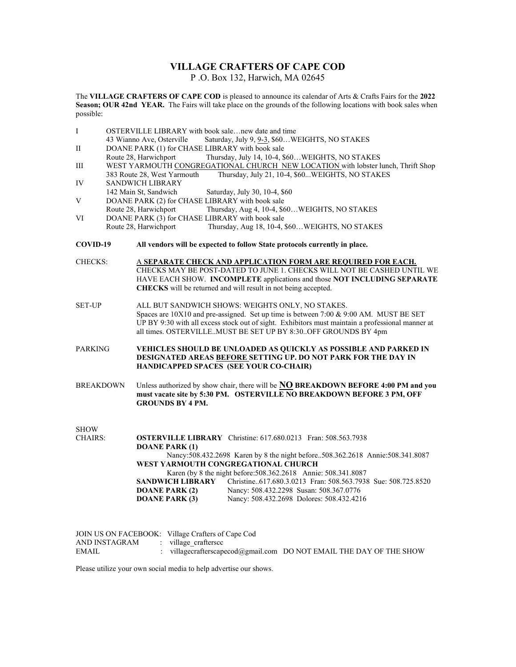## VILLAGE CRAFTERS OF CAPE COD

P .O. Box 132, Harwich, MA 02645

The VILLAGE CRAFTERS OF CAPE COD is pleased to announce its calendar of Arts & Crafts Fairs for the 2022 Season; OUR 42nd YEAR. The Fairs will take place on the grounds of the following locations with book sales when possible:

| COVID-19         |                                                                |                                                                                                                                                                                                                                                                                                                                                                                                                                                                                                                                                                                                                                                                                                                                                                                                                                                                                                                                                                                                                                                                                                                                                                                                                                                                                                                                                                                                                                                                                                                                                                                                                                                                                                                                                                                                                                                                                                                                                                                                                                                                                                                                                                           |  |
|------------------|----------------------------------------------------------------|---------------------------------------------------------------------------------------------------------------------------------------------------------------------------------------------------------------------------------------------------------------------------------------------------------------------------------------------------------------------------------------------------------------------------------------------------------------------------------------------------------------------------------------------------------------------------------------------------------------------------------------------------------------------------------------------------------------------------------------------------------------------------------------------------------------------------------------------------------------------------------------------------------------------------------------------------------------------------------------------------------------------------------------------------------------------------------------------------------------------------------------------------------------------------------------------------------------------------------------------------------------------------------------------------------------------------------------------------------------------------------------------------------------------------------------------------------------------------------------------------------------------------------------------------------------------------------------------------------------------------------------------------------------------------------------------------------------------------------------------------------------------------------------------------------------------------------------------------------------------------------------------------------------------------------------------------------------------------------------------------------------------------------------------------------------------------------------------------------------------------------------------------------------------------|--|
| <b>CHECKS:</b>   | CHECKS will be returned and will result in not being accepted. |                                                                                                                                                                                                                                                                                                                                                                                                                                                                                                                                                                                                                                                                                                                                                                                                                                                                                                                                                                                                                                                                                                                                                                                                                                                                                                                                                                                                                                                                                                                                                                                                                                                                                                                                                                                                                                                                                                                                                                                                                                                                                                                                                                           |  |
|                  | ALL BUT SANDWICH SHOWS: WEIGHTS ONLY, NO STAKES.               |                                                                                                                                                                                                                                                                                                                                                                                                                                                                                                                                                                                                                                                                                                                                                                                                                                                                                                                                                                                                                                                                                                                                                                                                                                                                                                                                                                                                                                                                                                                                                                                                                                                                                                                                                                                                                                                                                                                                                                                                                                                                                                                                                                           |  |
| <b>PARKING</b>   | HANDICAPPED SPACES (SEE YOUR CO-CHAIR)                         |                                                                                                                                                                                                                                                                                                                                                                                                                                                                                                                                                                                                                                                                                                                                                                                                                                                                                                                                                                                                                                                                                                                                                                                                                                                                                                                                                                                                                                                                                                                                                                                                                                                                                                                                                                                                                                                                                                                                                                                                                                                                                                                                                                           |  |
| <b>BREAKDOWN</b> | <b>GROUNDS BY 4 PM.</b>                                        |                                                                                                                                                                                                                                                                                                                                                                                                                                                                                                                                                                                                                                                                                                                                                                                                                                                                                                                                                                                                                                                                                                                                                                                                                                                                                                                                                                                                                                                                                                                                                                                                                                                                                                                                                                                                                                                                                                                                                                                                                                                                                                                                                                           |  |
| <b>CHAIRS:</b>   |                                                                |                                                                                                                                                                                                                                                                                                                                                                                                                                                                                                                                                                                                                                                                                                                                                                                                                                                                                                                                                                                                                                                                                                                                                                                                                                                                                                                                                                                                                                                                                                                                                                                                                                                                                                                                                                                                                                                                                                                                                                                                                                                                                                                                                                           |  |
|                  |                                                                |                                                                                                                                                                                                                                                                                                                                                                                                                                                                                                                                                                                                                                                                                                                                                                                                                                                                                                                                                                                                                                                                                                                                                                                                                                                                                                                                                                                                                                                                                                                                                                                                                                                                                                                                                                                                                                                                                                                                                                                                                                                                                                                                                                           |  |
|                  |                                                                |                                                                                                                                                                                                                                                                                                                                                                                                                                                                                                                                                                                                                                                                                                                                                                                                                                                                                                                                                                                                                                                                                                                                                                                                                                                                                                                                                                                                                                                                                                                                                                                                                                                                                                                                                                                                                                                                                                                                                                                                                                                                                                                                                                           |  |
|                  |                                                                |                                                                                                                                                                                                                                                                                                                                                                                                                                                                                                                                                                                                                                                                                                                                                                                                                                                                                                                                                                                                                                                                                                                                                                                                                                                                                                                                                                                                                                                                                                                                                                                                                                                                                                                                                                                                                                                                                                                                                                                                                                                                                                                                                                           |  |
|                  | <b>SANDWICH LIBRARY</b>                                        |                                                                                                                                                                                                                                                                                                                                                                                                                                                                                                                                                                                                                                                                                                                                                                                                                                                                                                                                                                                                                                                                                                                                                                                                                                                                                                                                                                                                                                                                                                                                                                                                                                                                                                                                                                                                                                                                                                                                                                                                                                                                                                                                                                           |  |
|                  | <b>DOANE PARK (2)</b>                                          |                                                                                                                                                                                                                                                                                                                                                                                                                                                                                                                                                                                                                                                                                                                                                                                                                                                                                                                                                                                                                                                                                                                                                                                                                                                                                                                                                                                                                                                                                                                                                                                                                                                                                                                                                                                                                                                                                                                                                                                                                                                                                                                                                                           |  |
|                  | <b>DOANE PARK (3)</b>                                          |                                                                                                                                                                                                                                                                                                                                                                                                                                                                                                                                                                                                                                                                                                                                                                                                                                                                                                                                                                                                                                                                                                                                                                                                                                                                                                                                                                                                                                                                                                                                                                                                                                                                                                                                                                                                                                                                                                                                                                                                                                                                                                                                                                           |  |
|                  |                                                                |                                                                                                                                                                                                                                                                                                                                                                                                                                                                                                                                                                                                                                                                                                                                                                                                                                                                                                                                                                                                                                                                                                                                                                                                                                                                                                                                                                                                                                                                                                                                                                                                                                                                                                                                                                                                                                                                                                                                                                                                                                                                                                                                                                           |  |
|                  |                                                                |                                                                                                                                                                                                                                                                                                                                                                                                                                                                                                                                                                                                                                                                                                                                                                                                                                                                                                                                                                                                                                                                                                                                                                                                                                                                                                                                                                                                                                                                                                                                                                                                                                                                                                                                                                                                                                                                                                                                                                                                                                                                                                                                                                           |  |
|                  |                                                                | OSTERVILLE LIBRARY with book salenew date and time<br>Saturday, July 9, 9-3, \$60WEIGHTS, NO STAKES<br>43 Wianno Ave, Osterville<br>DOANE PARK (1) for CHASE LIBRARY with book sale<br>Thursday, July 14, 10-4, \$60WEIGHTS, NO STAKES<br>Route 28, Harwichport<br>WEST YARMOUTH CONGREGATIONAL CHURCH NEW LOCATION with lobster lunch, Thrift Shop<br>383 Route 28, West Yarmouth<br>Thursday, July 21, 10-4, \$60WEIGHTS, NO STAKES<br><b>SANDWICH LIBRARY</b><br>142 Main St, Sandwich<br>Saturday, July 30, 10-4, \$60<br>DOANE PARK (2) for CHASE LIBRARY with book sale<br>Route 28, Harwichport<br>Thursday, Aug 4, 10-4, \$60 WEIGHTS, NO STAKES<br>DOANE PARK (3) for CHASE LIBRARY with book sale<br>Thursday, Aug 18, 10-4, \$60WEIGHTS, NO STAKES<br>Route 28, Harwichport<br>All vendors will be expected to follow State protocols currently in place.<br>A SEPARATE CHECK AND APPLICATION FORM ARE REQUIRED FOR EACH.<br>CHECKS MAY BE POST-DATED TO JUNE 1. CHECKS WILL NOT BE CASHED UNTIL WE<br>HAVE EACH SHOW. INCOMPLETE applications and those NOT INCLUDING SEPARATE<br>Spaces are $10X10$ and pre-assigned. Set up time is between 7:00 & 9:00 AM. MUST BE SET<br>UP BY 9:30 with all excess stock out of sight. Exhibitors must maintain a professional manner at<br>all times. OSTERVILLEMUST BE SET UP BY 8:30OFF GROUNDS BY 4pm<br>VEHICLES SHOULD BE UNLOADED AS QUICKLY AS POSSIBLE AND PARKED IN<br>DESIGNATED AREAS BEFORE SETTING UP. DO NOT PARK FOR THE DAY IN<br>Unless authorized by show chair, there will be <b>NO BREAKDOWN BEFORE 4:00 PM and you</b><br>must vacate site by 5:30 PM. OSTERVILLE NO BREAKDOWN BEFORE 3 PM, OFF<br>OSTERVILLE LIBRARY Christine: 617.680.0213 Fran: 508.563.7938<br><b>DOANE PARK (1)</b><br>Nancy: 508.432.2698 Karen by 8 the night before508.362.2618 Annie: 508.341.8087<br>WEST YARMOUTH CONGREGATIONAL CHURCH<br>Karen (by 8 the night before: 508.362.2618 Annie: 508.341.8087<br>Christine617.680.3.0213 Fran: 508.563.7938 Sue: 508.725.8520<br>Nancy: 508.432.2298 Susan: 508.367.0776<br>Nancy: 508.432.2698 Dolores: 508.432.4216<br>JOIN US ON FACEBOOK: Village Crafters of Cape Cod |  |

EMAIL : villagecrafterscapecod@gmail.com DO NOT EMAIL THE DAY OF THE SHOW

Please utilize your own social media to help advertise our shows.

AND INSTAGRAM : village\_crafterscc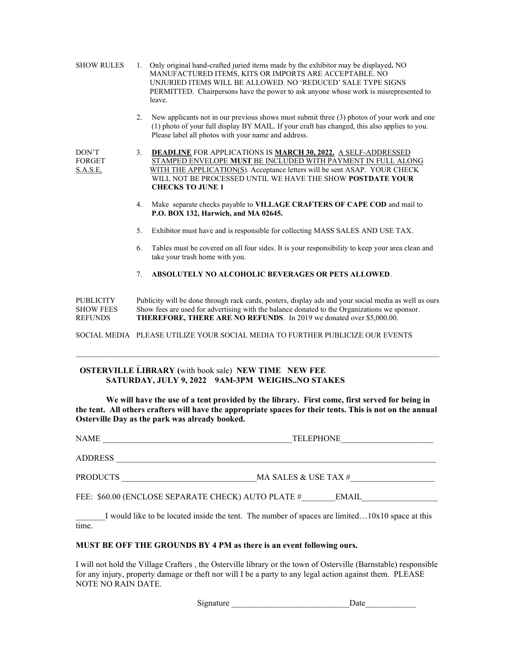- SHOW RULES 1. Only original hand-crafted juried items made by the exhibitor may be displayed. NO MANUFACTURED ITEMS, KITS OR IMPORTS ARE ACCEPTABLE. NO UNJURIED ITEMS WILL BE ALLOWED. NO 'REDUCED' SALE TYPE SIGNS PERMITTED. Chairpersons have the power to ask anyone whose work is misrepresented to leave.
	- 2. New applicants not in our previous shows must submit three (3) photos of your work and one (1) photo of your full display BY MAIL. If your craft has changed, this also applies to you. Please label all photos with your name and address.

DON'T 3. DEADLINE FOR APPLICATIONS IS MARCH 30, 2022. A SELF-ADDRESSED FORGET STAMPED ENVELOPE MUST BE INCLUDED WITH PAYMENT IN FULL ALONG S.A.S.E, WITH THE APPLICATION(S). Acceptance letters will be sent ASAP. YOUR CHECK WILL NOT BE PROCESSED UNTIL WE HAVE THE SHOW POSTDATE YOUR CHECKS TO JUNE 1

- 4. Make separate checks payable to VILLAGE CRAFTERS OF CAPE COD and mail to P.O. BOX 132, Harwich, and MA 02645.
- 5. Exhibitor must have and is responsible for collecting MASS SALES AND USE TAX.
- 6. Tables must be covered on all four sides. It is your responsibility to keep your area clean and take your trash home with you.
- 7. ABSOLUTELY NO ALCOHOLIC BEVERAGES OR PETS ALLOWED.

PUBLICITY Publicity will be done through rack cards, posters, display ads and your social media as well as ours SHOW FEES Show fees are used for advertising with the balance donated to the Organizations we sponsor. REFUNDS THEREFORE, THERE ARE NO REFUNDS. In 2019 we donated over \$5,000.00.

SOCIAL MEDIA PLEASE UTILIZE YOUR SOCIAL MEDIA TO FURTHER PUBLICIZE OUR EVENTS

## $\mathcal{L}(\mathcal{L})$  OSTERVILLE LIBRARY (with book sale) NEW TIME NEW FEE SATURDAY, JULY 9, 2022 9AM-3PM WEIGHS..NO STAKES

 We will have the use of a tent provided by the library. First come, first served for being in the tent. All others crafters will have the appropriate spaces for their tents. This is not on the annual Osterville Day as the park was already booked.

| NAME            | TELEPHONE                                                                                          |
|-----------------|----------------------------------------------------------------------------------------------------|
| <b>ADDRESS</b>  |                                                                                                    |
| <b>PRODUCTS</b> | MA SALES & USE TAX $#$                                                                             |
|                 | FEE: \$60.00 (ENCLOSE SEPARATE CHECK) AUTO PLATE #<br>EMAIL                                        |
| time.           | I would like to be located inside the tent. The number of spaces are limited $10x10$ space at this |

## MUST BE OFF THE GROUNDS BY 4 PM as there is an event following ours.

I will not hold the Village Crafters , the Osterville library or the town of Osterville (Barnstable) responsible for any injury, property damage or theft nor will I be a party to any legal action against them. PLEASE NOTE NO RAIN DATE.

Signature Date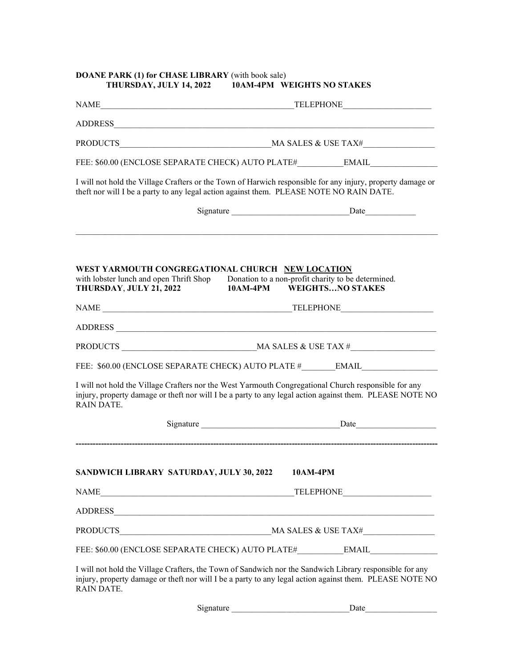| <b>DOANE PARK (1) for CHASE LIBRARY</b> (with book sale) |                                   |
|----------------------------------------------------------|-----------------------------------|
| THURSDAY, JULY 14, 2022                                  | <b>10AM-4PM WEIGHTS NO STAKES</b> |

| <b>NAME</b>                                                                                                                                                                                                                      | TELEPHONE                                                                                                             |                 |                     |
|----------------------------------------------------------------------------------------------------------------------------------------------------------------------------------------------------------------------------------|-----------------------------------------------------------------------------------------------------------------------|-----------------|---------------------|
|                                                                                                                                                                                                                                  |                                                                                                                       |                 |                     |
|                                                                                                                                                                                                                                  |                                                                                                                       |                 |                     |
| FEE: \$60.00 (ENCLOSE SEPARATE CHECK) AUTO PLATE#_________________________________                                                                                                                                               |                                                                                                                       |                 |                     |
| I will not hold the Village Crafters or the Town of Harwich responsible for any injury, property damage or<br>theft nor will I be a party to any legal action against them. PLEASE NOTE NO RAIN DATE.                            |                                                                                                                       |                 |                     |
|                                                                                                                                                                                                                                  | Signature Date                                                                                                        |                 |                     |
| WEST YARMOUTH CONGREGATIONAL CHURCH NEW LOCATION<br>with lobster lunch and open Thrift Shop Donation to a non-profit charity to be determined.<br>THURSDAY, JULY 21, 2022                                                        | 10AM-4PM WEIGHTSNO STAKES                                                                                             |                 |                     |
|                                                                                                                                                                                                                                  |                                                                                                                       |                 |                     |
| ADDRESS                                                                                                                                                                                                                          |                                                                                                                       |                 |                     |
| PRODUCTS MASALES & USE TAX #                                                                                                                                                                                                     |                                                                                                                       |                 |                     |
| FEE: \$60.00 (ENCLOSE SEPARATE CHECK) AUTO PLATE #________________________________                                                                                                                                               |                                                                                                                       |                 |                     |
| I will not hold the Village Crafters nor the West Yarmouth Congregational Church responsible for any<br>injury, property damage or theft nor will I be a party to any legal action against them. PLEASE NOTE NO<br>RAIN DATE.    |                                                                                                                       |                 |                     |
|                                                                                                                                                                                                                                  |                                                                                                                       |                 | Signature Date Date |
| SANDWICH LIBRARY SATURDAY, JULY 30, 2022<br>TELEPHONE TELEPHONE TELEPHONE<br>NAME<br>ADDRESS                                                                                                                                     | <u> 1989 - Johann John Stein, marwolaeth a bhaile an t-Amhain an t-Amhain an t-Amhain an t-Amhain an t-Amhain an </u> | <b>10AM-4PM</b> |                     |
|                                                                                                                                                                                                                                  |                                                                                                                       |                 |                     |
| FEE: \$60.00 (ENCLOSE SEPARATE CHECK) AUTO PLATE# EMAIL EMAIL                                                                                                                                                                    |                                                                                                                       |                 |                     |
| I will not hold the Village Crafters, the Town of Sandwich nor the Sandwich Library responsible for any<br>injury, property damage or theft nor will I be a party to any legal action against them. PLEASE NOTE NO<br>RAIN DATE. |                                                                                                                       |                 |                     |

Signature \_\_\_\_\_\_\_\_\_\_\_\_\_\_\_\_\_\_\_\_\_\_\_\_\_\_\_\_Date\_\_\_\_\_\_\_\_\_\_\_\_\_\_\_\_\_